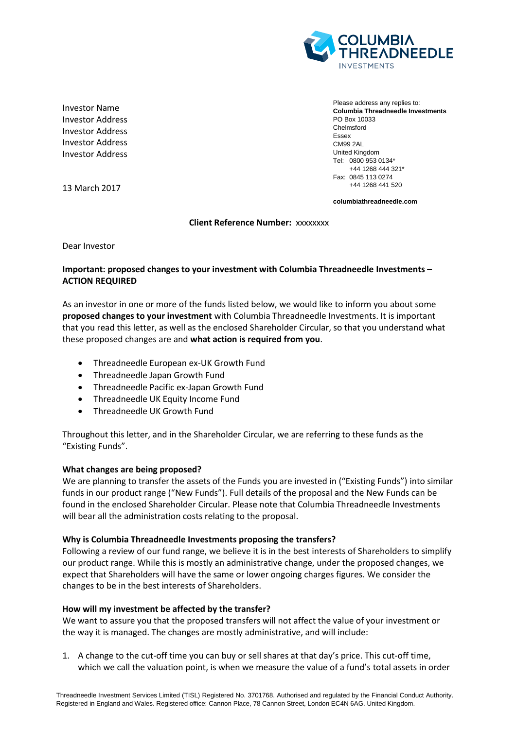

Investor Name Investor Address Investor Address Investor Address Investor Address

13 March 2017

Please address any replies to: **Columbia Threadneedle Investments** PO Box 10033 Chelmsford Essex CM99 2AL United Kingdom Tel: 0800 953 0134\* +44 1268 444 321\* Fax: 0845 113 0274 +44 1268 441 520

**columbiathreadneedle.com**

#### **Client Reference Number:** xxxxxxxx

Dear Investor

## **Important: proposed changes to your investment with Columbia Threadneedle Investments – ACTION REQUIRED**

As an investor in one or more of the funds listed below, we would like to inform you about some **proposed changes to your investment** with Columbia Threadneedle Investments. It is important that you read this letter, as well as the enclosed Shareholder Circular, so that you understand what these proposed changes are and **what action is required from you**.

- Threadneedle European ex-UK Growth Fund
- Threadneedle Japan Growth Fund
- Threadneedle Pacific ex-Japan Growth Fund
- Threadneedle UK Equity Income Fund
- Threadneedle UK Growth Fund

Throughout this letter, and in the Shareholder Circular, we are referring to these funds as the "Existing Funds".

### **What changes are being proposed?**

We are planning to transfer the assets of the Funds you are invested in ("Existing Funds") into similar funds in our product range ("New Funds"). Full details of the proposal and the New Funds can be found in the enclosed Shareholder Circular. Please note that Columbia Threadneedle Investments will bear all the administration costs relating to the proposal.

### **Why is Columbia Threadneedle Investments proposing the transfers?**

Following a review of our fund range, we believe it is in the best interests of Shareholders to simplify our product range. While this is mostly an administrative change, under the proposed changes, we expect that Shareholders will have the same or lower ongoing charges figures. We consider the changes to be in the best interests of Shareholders.

### **How will my investment be affected by the transfer?**

We want to assure you that the proposed transfers will not affect the value of your investment or the way it is managed. The changes are mostly administrative, and will include:

1. A change to the cut-off time you can buy or sell shares at that day's price. This cut-off time, which we call the valuation point, is when we measure the value of a fund's total assets in order